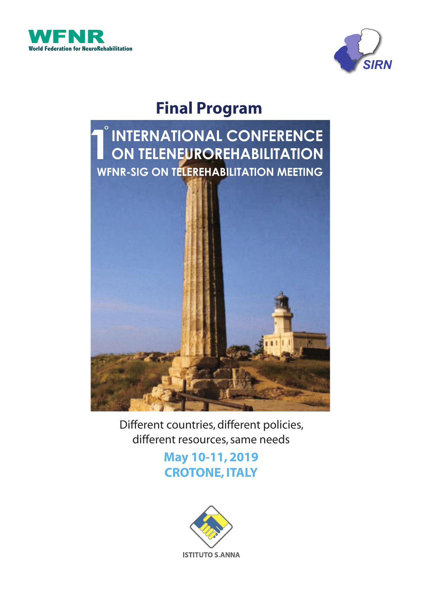



# **Final Program**



Different countries, different policies, different resources, same needs

> **May 10-11, 2019 CROTONE, ITALY**

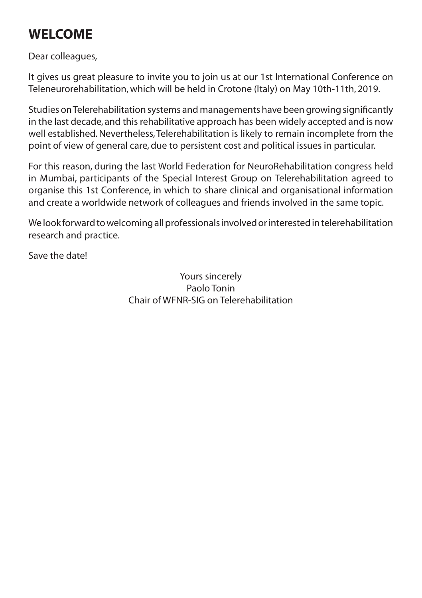# **WELCOME**

Dear colleagues,

It gives us great pleasure to invite you to join us at our 1st International Conference on Teleneurorehabilitation, which will be held in Crotone (Italy) on May 10th-11th, 2019.

Studies on Telerehabilitation systems and managements have been growing significantly in the last decade, and this rehabilitative approach has been widely accepted and is now well established. Nevertheless, Telerehabilitation is likely to remain incomplete from the point of view of general care, due to persistent cost and political issues in particular.

For this reason, during the last World Federation for NeuroRehabilitation congress held in Mumbai, participants of the Special Interest Group on Telerehabilitation agreed to organise this 1st Conference, in which to share clinical and organisational information and create a worldwide network of colleagues and friends involved in the same topic.

We look forward to welcoming all professionals involved or interested in telerehabilitation research and practice.

Save the date!

Yours sincerely Paolo Tonin Chair of WFNR-SIG on Telerehabilitation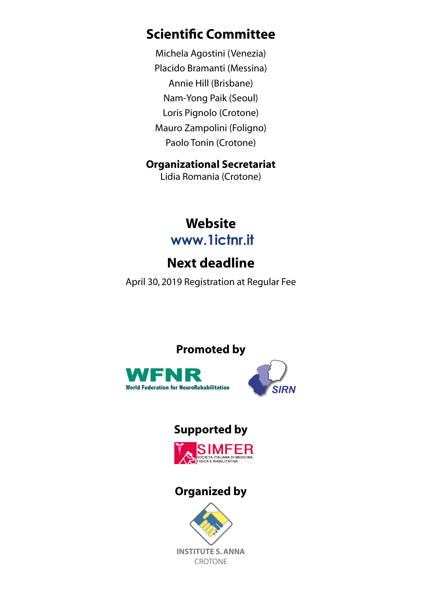## **Scientific Committee**

Michela Agostini (Venezia) Placido Bramanti (Messina) Annie Hill (Brisbane) Nam-Yong Paik (Seoul) Loris Pignolo (Crotone) Mauro Zampolini (Foligno) Paolo Tonin (Crotone)

## **Organizational Secretariat**

Lidia Romania (Crotone)

## **Website www.1ictnr.it**

# **Next deadline**

April 30, 2019 Registration at Regular Fee

**Promoted by**



## **Supported by**



## **Organized by**

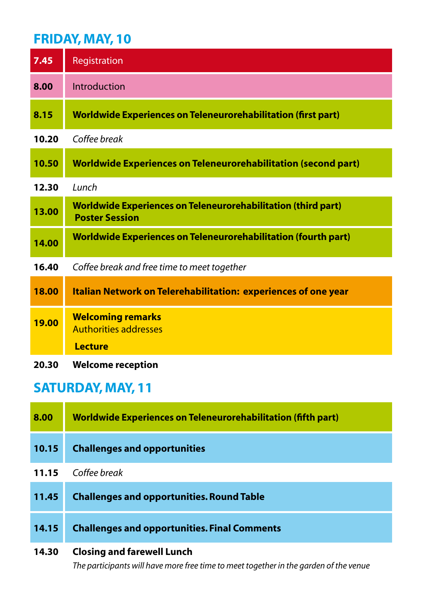## **FRIDAY, MAY, 10**

| 7.45  | Registration                                                                                  |
|-------|-----------------------------------------------------------------------------------------------|
| 8.00  | Introduction                                                                                  |
| 8.15  | <b>Worldwide Experiences on Teleneurorehabilitation (first part)</b>                          |
| 10.20 | Coffee break                                                                                  |
| 10.50 | <b>Worldwide Experiences on Teleneurorehabilitation (second part)</b>                         |
| 12.30 | Lunch                                                                                         |
| 13.00 | <b>Worldwide Experiences on Teleneurorehabilitation (third part)</b><br><b>Poster Session</b> |
| 14.00 | <b>Worldwide Experiences on Teleneurorehabilitation (fourth part)</b>                         |
| 16.40 | Coffee break and free time to meet together                                                   |
| 18.00 | Italian Network on Telerehabilitation: experiences of one year                                |
| 19.00 | <b>Welcoming remarks</b><br><b>Authorities addresses</b><br><b>Lecture</b>                    |
| 20.30 | <b>Welcome reception</b>                                                                      |

## **SATURDAY, MAY, 11**

| 8.00  | Worldwide Experiences on Teleneurorehabilitation (fifth part) |
|-------|---------------------------------------------------------------|
| 10.15 | <b>Challenges and opportunities</b>                           |
| 11.15 | Coffee break                                                  |
| 11.45 | <b>Challenges and opportunities. Round Table</b>              |
| 14.15 | <b>Challenges and opportunities. Final Comments</b>           |
| 14.30 | <b>Closing and farewell Lunch</b>                             |

*The participants will have more free time to meet together in the garden of the venue*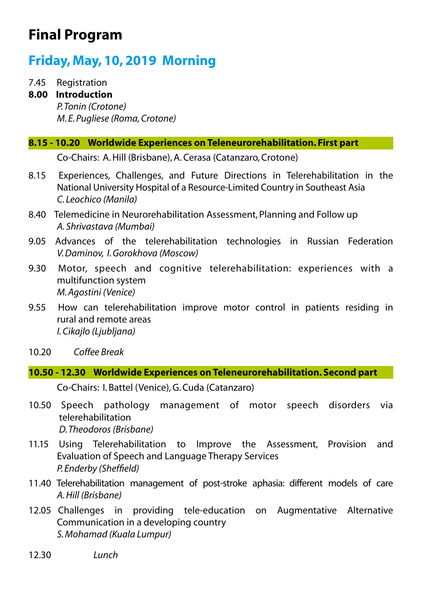# **Final Program**

## **Friday, May, 10, 2019 Morning**

7.45 Registration

#### **8.00 Introduction**

*P. Tonin (Crotone) M. E. Pugliese (Roma, Crotone)*

### **8.15 - 10.20 Worldwide Experiences on Teleneurorehabilitation. First part**

Co-Chairs: A. Hill (Brisbane), A. Cerasa (Catanzaro, Crotone)

- 8.15 Experiences, Challenges, and Future Directions in Telerehabilitation in the National University Hospital of a Resource-Limited Country in Southeast Asia *C. Leochico (Manila)*
- 8.40 Telemedicine in Neurorehabilitation Assessment, Planning and Follow up *A. Shrivastava (Mumbai)*
- 9.05 Advances of the telerehabilitation technologies in Russian Federation *V. Daminov, I. Gorokhova (Moscow)*
- 9.30 Motor, speech and cognitive telerehabilitation: experiences with a multifunction system *M. Agostini (Venice)*
- 9.55 How can telerehabilitation improve motor control in patients residing in rural and remote areas *I. Cikajlo (Ljubljana)*
- 10.20 *Coffee Break*

#### **10.50 - 12.30 Worldwide Experiences on Teleneurorehabilitation. Second part**

Co-Chairs: I. Battel (Venice), G. Cuda (Catanzaro)

- 10.50 Speech pathology management of motor speech disorders via telerehabilitation *D. Theodoros (Brisbane)*
- 11.15 Using Telerehabilitation to Improve the Assessment, Provision and Evaluation of Speech and Language Therapy Services *P. Enderby (Sheffield)*
- 11.40 Telerehabilitation management of post-stroke aphasia: different models of care *A. Hill (Brisbane)*
- 12.05 Challenges in providing tele-education on Augmentative Alternative Communication in a developing country *S. Mohamad (Kuala Lumpur)*
- 12.30 *Lunch*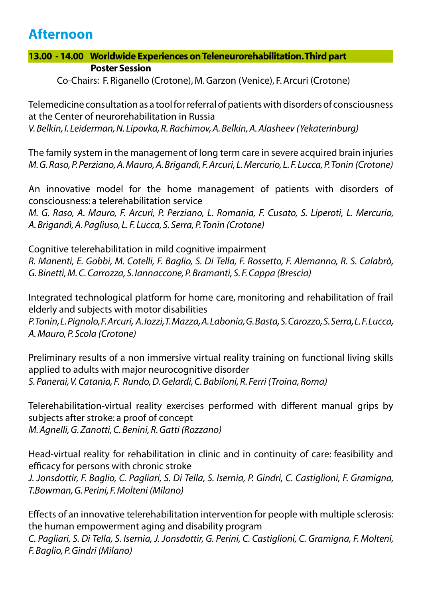## **Afternoon**

### **13.00 - 14.00 Worldwide Experiences on Teleneurorehabilitation. Third part Poster Session**

Co-Chairs: F. Riganello (Crotone), M. Garzon (Venice), F. Arcuri (Crotone)

Telemedicine consultation as a tool for referral of patients with disorders of consciousness at the Center of neurorehabilitation in Russia *V. Belkin, I. Leiderman, N. Lipovka, R. Rachimov, A. Belkin, A. Alasheev (Yekaterinburg)*

The family system in the management of long term care in severe acquired brain injuries *M. G. Raso, P. Perziano, A. Mauro, A. Brigandì, F. Arcuri, L. Mercurio, L. F. Lucca, P. Tonin (Crotone)*

An innovative model for the home management of patients with disorders of consciousness: a telerehabilitation service

*M. G. Raso, A. Mauro, F. Arcuri, P. Perziano, L. Romania, F. Cusato, S. Liperoti, L. Mercurio, A. Brigandì, A. Pagliuso, L. F. Lucca, S. Serra, P. Tonin (Crotone)*

Cognitive telerehabilitation in mild cognitive impairment *R. Manenti, E. Gobbi, M. Cotelli, F. Baglio, S. Di Tella, F. Rossetto, F. Alemanno, R. S. Calabrò, G. Binetti, M. C. Carrozza, S. Iannaccone, P. Bramanti, S. F. Cappa (Brescia)*

Integrated technological platform for home care, monitoring and rehabilitation of frail elderly and subjects with motor disabilities

*P. Tonin, L. Pignolo, F. Arcuri, A. Iozzi, T. Mazza, A. Labonia, G. Basta, S. Carozzo, S. Serra, L. F. Lucca, A. Mauro, P. Scola (Crotone)*

Preliminary results of a non immersive virtual reality training on functional living skills applied to adults with major neurocognitive disorder *S. Panerai, V. Catania, F. Rundo, D. Gelardi, C. Babiloni, R. Ferri (Troina, Roma)*

Telerehabilitation-virtual reality exercises performed with different manual grips by subjects after stroke: a proof of concept *M. Agnelli, G. Zanotti, C. Benini, R. Gatti (Rozzano)*

Head-virtual reality for rehabilitation in clinic and in continuity of care: feasibility and efficacy for persons with chronic stroke *J. Jonsdottir, F. Baglio, C. Pagliari, S. Di Tella, S. Isernia, P. Gindri, C. Castiglioni, F. Gramigna, T.Bowman, G. Perini, F. Molteni (Milano)*

Effects of an innovative telerehabilitation intervention for people with multiple sclerosis: the human empowerment aging and disability program *C. Pagliari, S. Di Tella, S. Isernia, J. Jonsdottir, G. Perini, C. Castiglioni, C. Gramigna, F. Molteni, F. Baglio, P. Gindri (Milano)*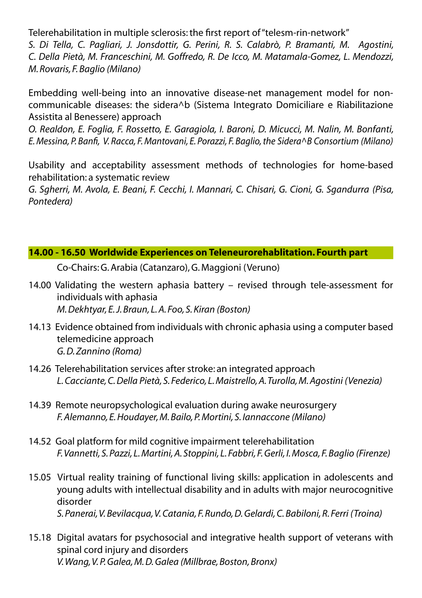Telerehabilitation in multiple sclerosis: the first report of "telesm-rin-network"

*S. Di Tella, C. Pagliari, J. Jonsdottir, G. Perini, R. S. Calabrò, P. Bramanti, M. Agostini, C. Della Pietà, M. Franceschini, M. Goffredo, R. De Icco, M. Matamala-Gomez, L. Mendozzi, M. Rovaris, F. Baglio (Milano)*

Embedding well-being into an innovative disease-net management model for noncommunicable diseases: the sidera^b (Sistema Integrato Domiciliare e Riabilitazione Assistita al Benessere) approach

*O. Realdon, E. Foglia, F. Rossetto, E. Garagiola, I. Baroni, D. Micucci, M. Nalin, M. Bonfanti, E. Messina, P. Banfi, V. Racca, F. Mantovani, E. Porazzi, F. Baglio, the Sidera^B Consortium (Milano)*

Usability and acceptability assessment methods of technologies for home-based rehabilitation: a systematic review

*G. Sgherri, M. Avola, E. Beani, F. Cecchi, I. Mannari, C. Chisari, G. Cioni, G. Sgandurra (Pisa, Pontedera)*

## **14.00 - 16.50 Worldwide Experiences on Teleneurorehablitation. Fourth part**

Co-Chairs: G. Arabia (Catanzaro), G. Maggioni (Veruno)

- 14.00 Validating the western aphasia battery revised through tele-assessment for individuals with aphasia *M. Dekhtyar, E. J. Braun, L. A. Foo, S. Kiran (Boston)*
- 14.13 Evidence obtained from individuals with chronic aphasia using a computer based telemedicine approach *G. D. Zannino (Roma)*
- 14.26 Telerehabilitation services after stroke: an integrated approach *L. Cacciante, C. Della Pietà, S. Federico, L. Maistrello, A. Turolla, M. Agostini (Venezia)*
- 14.39 Remote neuropsychological evaluation during awake neurosurgery *F. Alemanno, E. Houdayer, M. Bailo, P. Mortini, S. Iannaccone (Milano)*
- 14.52 Goal platform for mild cognitive impairment telerehabilitation *F. Vannetti, S. Pazzi, L. Martini, A. Stoppini, L. Fabbri, F. Gerli, I. Mosca, F. Baglio (Firenze)*
- 15.05 Virtual reality training of functional living skills: application in adolescents and young adults with intellectual disability and in adults with major neurocognitive disorder *S. Panerai, V. Bevilacqua, V. Catania, F. Rundo, D. Gelardi, C. Babiloni, R. Ferri (Troina)*
- 15.18 Digital avatars for psychosocial and integrative health support of veterans with spinal cord injury and disorders *V. Wang, V. P. Galea, M. D. Galea (Millbrae, Boston, Bronx)*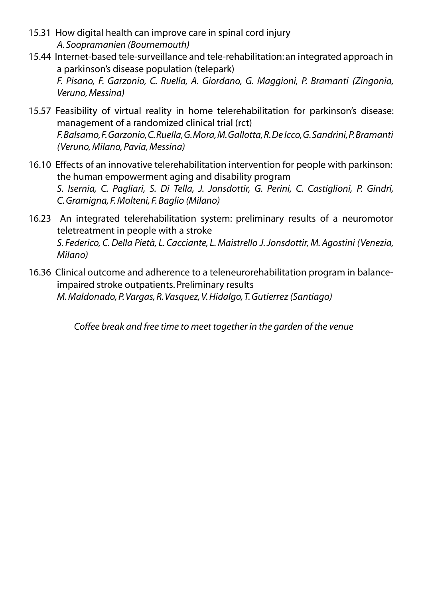- 15.31 How digital health can improve care in spinal cord injury *A. Soopramanien (Bournemouth)*
- 15.44 Internet-based tele-surveillance and tele-rehabilitation: an integrated approach in a parkinson's disease population (telepark) *F. Pisano, F. Garzonio, C. Ruella, A. Giordano, G. Maggioni, P. Bramanti (Zingonia, Veruno, Messina)*
- 15.57 Feasibility of virtual reality in home telerehabilitation for parkinson's disease: management of a randomized clinical trial (rct) *F. Balsamo, F. Garzonio, C. Ruella, G. Mora, M. Gallotta, R. De Icco, G. Sandrini, P. Bramanti (Veruno, Milano, Pavia, Messina)*
- 16.10 Effects of an innovative telerehabilitation intervention for people with parkinson: the human empowerment aging and disability program *S. Isernia, C. Pagliari, S. Di Tella, J. Jonsdottir, G. Perini, C. Castiglioni, P. Gindri, C. Gramigna, F. Molteni, F. Baglio (Milano)*
- 16.23 An integrated telerehabilitation system: preliminary results of a neuromotor teletreatment in people with a stroke *S. Federico, C. Della Pietà, L. Cacciante, L. Maistrello J. Jonsdottir, M. Agostini (Venezia, Milano)*
- 16.36 Clinical outcome and adherence to a teleneurorehabilitation program in balanceimpaired stroke outpatients. Preliminary results *M. Maldonado, P. Vargas, R. Vasquez, V. Hidalgo, T. Gutierrez (Santiago)*

*Coffee break and free time to meet together in the garden of the venue*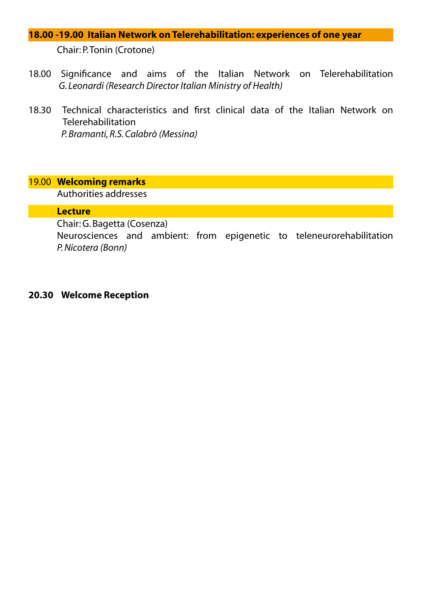## **18.00 -19.00 Italian Network on Telerehabilitation: experiences of one year** Chair: P. Tonin (Crotone)

- 18.00 Significance and aims of the Italian Network on Telerehabilitation  *G. Leonardi (Research Director Italian Ministry of Health)*
- 18.30 Technical characteristics and first clinical data of the Italian Network on Telerehabilitation *P. Bramanti, R.S. Calabrò (Messina)*

#### 19.00 **Welcoming remarks**

Authorities addresses

#### **Lecture**

Chair: G. Bagetta (Cosenza)

Neurosciences and ambient: from epigenetic to teleneurorehabilitation *P. Nicotera (Bonn)*

#### **20.30 Welcome Reception**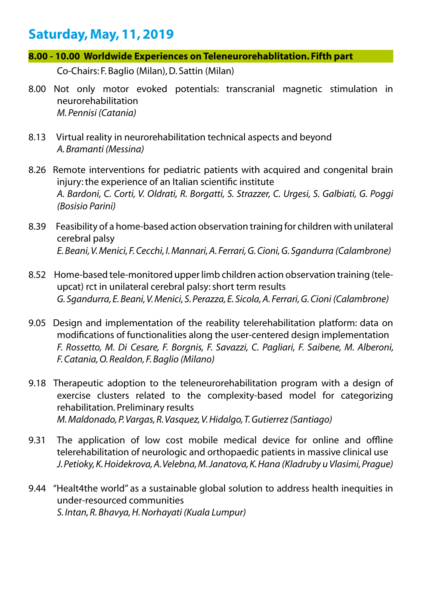## **Saturday, May, 11, 2019**

**8.00 - 10.00 Worldwide Experiences on Teleneurorehablitation. Fifth part**

Co-Chairs: F. Baglio (Milan), D. Sattin (Milan)

- 8.00 Not only motor evoked potentials: transcranial magnetic stimulation in neurorehabilitation *M. Pennisi (Catania)*
- 8.13 Virtual reality in neurorehabilitation technical aspects and beyond *A. Bramanti (Messina)*
- 8.26 Remote interventions for pediatric patients with acquired and congenital brain injury: the experience of an Italian scientific institute *A. Bardoni, C. Corti, V. Oldrati, R. Borgatti, S. Strazzer, C. Urgesi, S. Galbiati, G. Poggi (Bosisio Parini)*
- 8.39 Feasibility of a home-based action observation training for children with unilateral cerebral palsy *E. Beani, V. Menici, F. Cecchi, I. Mannari, A. Ferrari, G. Cioni, G. Sgandurra (Calambrone)*
- 8.52 Home-based tele-monitored upper limb children action observation training (teleupcat) rct in unilateral cerebral palsy: short term results *G. Sgandurra, E. Beani, V. Menici, S. Perazza, E. Sicola, A. Ferrari, G. Cioni (Calambrone)*
- 9.05 Design and implementation of the reability telerehabilitation platform: data on modifications of functionalities along the user-centered design implementation *F. Rossetto, M. Di Cesare, F. Borgnis, F. Savazzi, C. Pagliari, F. Saibene, M. Alberoni, F. Catania, O. Realdon, F. Baglio (Milano)*
- 9.18 Therapeutic adoption to the teleneurorehabilitation program with a design of exercise clusters related to the complexity-based model for categorizing rehabilitation. Preliminary results *M. Maldonado, P. Vargas, R. Vasquez, V. Hidalgo, T. Gutierrez (Santiago)*
- 9.31 The application of low cost mobile medical device for online and offline telerehabilitation of neurologic and orthopaedic patients in massive clinical use *J. Petioky, K. Hoidekrova, A. Velebna, M. Janatova, K. Hana (Kladruby u Vlasimi, Prague)*
- 9.44 "Healt4the world" as a sustainable global solution to address health inequities in under-resourced communities *S. Intan, R. Bhavya, H. Norhayati (Kuala Lumpur)*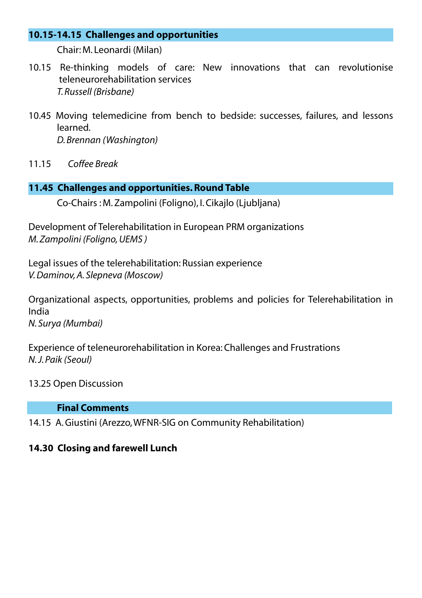#### **10.15-14.15 Challenges and opportunities**

Chair: M. Leonardi (Milan)

- 10.15 Re-thinking models of care: New innovations that can revolutionise teleneurorehabilitation services *T. Russell (Brisbane)*
- 10.45 Moving telemedicine from bench to bedside: successes, failures, and lessons learned. *D. Brennan (Washington)*
- 11.15 *Coffee Break*

### **11.45 Challenges and opportunities. Round Table**

Co-Chairs : M. Zampolini (Foligno), I. Cikajlo (Ljubljana)

Development of Telerehabilitation in European PRM organizations *M. Zampolini (Foligno, UEMS )*

Legal issues of the telerehabilitation: Russian experience *V. Daminov, A. Slepneva (Moscow)*

Organizational aspects, opportunities, problems and policies for Telerehabilitation in India *N. Surya (Mumbai)*

Experience of teleneurorehabilitation in Korea: Challenges and Frustrations *N. J. Paik (Seoul)*

### 13.25 Open Discussion

#### **Final Comments**

14.15 A. Giustini (Arezzo, WFNR-SIG on Community Rehabilitation)

### **14.30 Closing and farewell Lunch**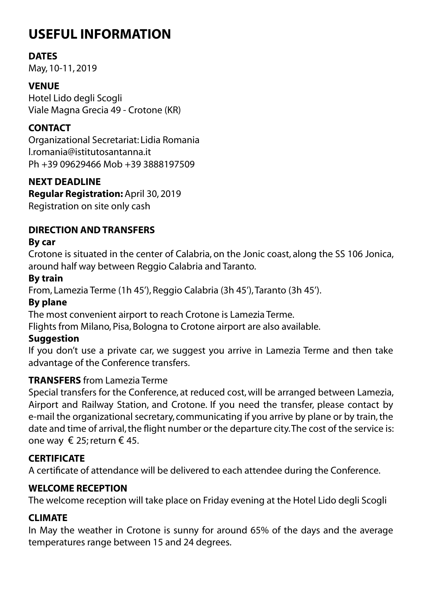# **USEFUL INFORMATION**

## **DATES**

May, 10-11, 2019

## **VENUE**

Hotel Lido degli Scogli Viale Magna Grecia 49 - Crotone (KR)

## **CONTACT**

Organizational Secretariat: Lidia Romania l.romania@istitutosantanna.it Ph +39 09629466 Mob +39 3888197509

## **NEXT DEADLINE**

**Regular Registration:** April 30, 2019 Registration on site only cash

## **DIRECTION AND TRANSFERS**

## **By car**

Crotone is situated in the center of Calabria, on the Jonic coast, along the SS 106 Jonica, around half way between Reggio Calabria and Taranto.

## **By train**

From, Lamezia Terme (1h 45'), Reggio Calabria (3h 45'), Taranto (3h 45').

## **By plane**

The most convenient airport to reach Crotone is Lamezia Terme.

Flights from Milano, Pisa, Bologna to Crotone airport are also available.

## **Suggestion**

If you don't use a private car, we suggest you arrive in Lamezia Terme and then take advantage of the Conference transfers.

## **TRANSFERS** from Lamezia Terme

Special transfers for the Conference, at reduced cost, will be arranged between Lamezia, Airport and Railway Station, and Crotone. If you need the transfer, please contact by e-mail the organizational secretary, communicating if you arrive by plane or by train, the date and time of arrival, the flight number or the departure city. The cost of the service is: one way € 25; return € 45.

## **CERTIFICATE**

A certificate of attendance will be delivered to each attendee during the Conference.

## **WELCOME RECEPTION**

The welcome reception will take place on Friday evening at the Hotel Lido degli Scogli

## **CLIMATE**

In May the weather in Crotone is sunny for around 65% of the days and the average temperatures range between 15 and 24 degrees.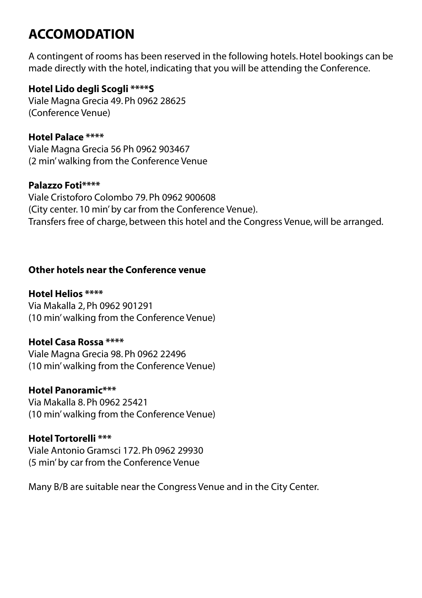# **ACCOMODATION**

A contingent of rooms has been reserved in the following hotels. Hotel bookings can be made directly with the hotel, indicating that you will be attending the Conference.

## **Hotel Lido degli Scogli \*\*\*\*S**

Viale Magna Grecia 49. Ph 0962 28625 (Conference Venue)

## **Hotel Palace \*\*\*\***

Viale Magna Grecia 56 Ph 0962 903467 (2 min' walking from the Conference Venue

## **Palazzo Foti\*\*\*\***

Viale Cristoforo Colombo 79. Ph 0962 900608 (City center. 10 min' by car from the Conference Venue). Transfers free of charge, between this hotel and the Congress Venue, will be arranged.

## **Other hotels near the Conference venue**

## **Hotel Helios \*\*\*\***

Via Makalla 2, Ph 0962 901291 (10 min' walking from the Conference Venue)

### **Hotel Casa Rossa \*\*\*\***

Viale Magna Grecia 98. Ph 0962 22496 (10 min' walking from the Conference Venue)

### **Hotel Panoramic\*\*\***

Via Makalla 8. Ph 0962 25421 (10 min' walking from the Conference Venue)

### **Hotel Tortorelli \*\*\***

Viale Antonio Gramsci 172. Ph 0962 29930 (5 min' by car from the Conference Venue

Many B/B are suitable near the Congress Venue and in the City Center.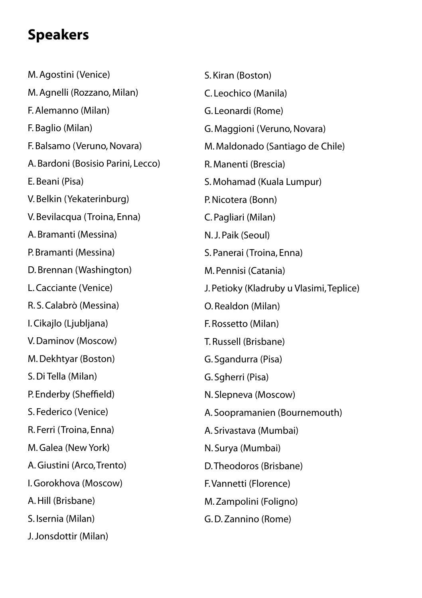# **Speakers**

M. Agostini (Venice) M. Agnelli (Rozzano, Milan) F. Alemanno (Milan) F. Baglio (Milan) F. Balsamo (Veruno, Novara) A. Bardoni (Bosisio Parini, Lecco) E. Beani (Pisa) V. Belkin (Yekaterinburg) V. Bevilacqua (Troina, Enna) A. Bramanti (Messina) P. Bramanti (Messina) D. Brennan (Washington) L. Cacciante (Venice) R. S. Calabrò (Messina) I. Cikajlo (Ljubljana) V. Daminov (Moscow) M. Dekhtyar (Boston) S. Di Tella (Milan) P. Enderby (Sheffield) S. Federico (Venice) R. Ferri (Troina, Enna) M. Galea (New York) A. Giustini (Arco, Trento) I. Gorokhova (Moscow) A. Hill (Brisbane) S. Isernia (Milan) J. Jonsdottir (Milan)

S. Kiran (Boston) C. Leochico (Manila) G. Leonardi (Rome) G. Maggioni (Veruno, Novara) M. Maldonado (Santiago de Chile) R. Manenti (Brescia) S. Mohamad (Kuala Lumpur) P. Nicotera (Bonn) C. Pagliari (Milan) N. J. Paik (Seoul) S. Panerai (Troina, Enna) M. Pennisi (Catania) J. Petioky (Kladruby u Vlasimi, Teplice) O. Realdon (Milan) F. Rossetto (Milan) T. Russell (Brisbane) G. Sgandurra (Pisa) G. Sgherri (Pisa) N. Slepneva (Moscow) A. Soopramanien (Bournemouth) A. Srivastava (Mumbai) N. Surya (Mumbai) D. Theodoros (Brisbane) F. Vannetti (Florence) M. Zampolini (Foligno) G. D. Zannino (Rome)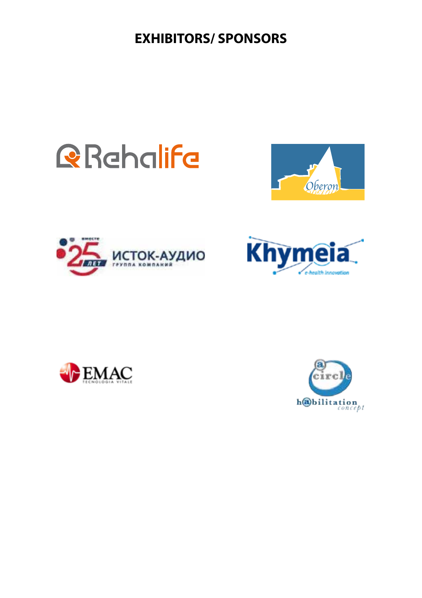**EXHIBITORS/ SPONSORS**